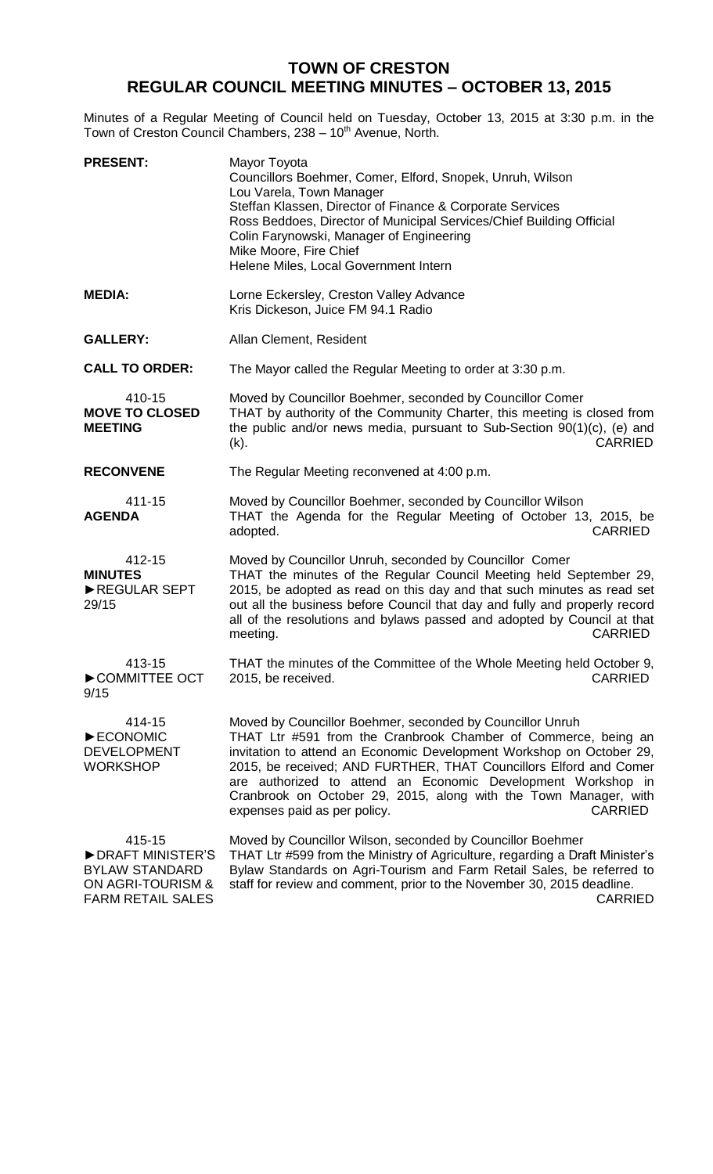## **TOWN OF CRESTON REGULAR COUNCIL MEETING MINUTES – OCTOBER 13, 2015**

Minutes of a Regular Meeting of Council held on Tuesday, October 13, 2015 at 3:30 p.m. in the Town of Creston Council Chambers, 238 - 10<sup>th</sup> Avenue, North.

| <b>PRESENT:</b>                                                          | Mayor Toyota<br>Councillors Boehmer, Comer, Elford, Snopek, Unruh, Wilson<br>Lou Varela, Town Manager<br>Steffan Klassen, Director of Finance & Corporate Services<br>Ross Beddoes, Director of Municipal Services/Chief Building Official<br>Colin Farynowski, Manager of Engineering<br>Mike Moore, Fire Chief<br>Helene Miles, Local Government Intern                                                                                                      |  |
|--------------------------------------------------------------------------|----------------------------------------------------------------------------------------------------------------------------------------------------------------------------------------------------------------------------------------------------------------------------------------------------------------------------------------------------------------------------------------------------------------------------------------------------------------|--|
| <b>MEDIA:</b>                                                            | Lorne Eckersley, Creston Valley Advance<br>Kris Dickeson, Juice FM 94.1 Radio                                                                                                                                                                                                                                                                                                                                                                                  |  |
| <b>GALLERY:</b>                                                          | Allan Clement, Resident                                                                                                                                                                                                                                                                                                                                                                                                                                        |  |
| <b>CALL TO ORDER:</b>                                                    | The Mayor called the Regular Meeting to order at 3:30 p.m.                                                                                                                                                                                                                                                                                                                                                                                                     |  |
| 410-15<br><b>MOVE TO CLOSED</b><br><b>MEETING</b>                        | Moved by Councillor Boehmer, seconded by Councillor Comer<br>THAT by authority of the Community Charter, this meeting is closed from<br>the public and/or news media, pursuant to Sub-Section 90(1)(c), (e) and<br><b>CARRIED</b><br>$(k)$ .                                                                                                                                                                                                                   |  |
| <b>RECONVENE</b>                                                         | The Regular Meeting reconvened at 4:00 p.m.                                                                                                                                                                                                                                                                                                                                                                                                                    |  |
| 411-15<br><b>AGENDA</b>                                                  | Moved by Councillor Boehmer, seconded by Councillor Wilson<br>THAT the Agenda for the Regular Meeting of October 13, 2015, be<br>adopted.<br><b>CARRIED</b>                                                                                                                                                                                                                                                                                                    |  |
| 412-15<br><b>MINUTES</b><br>REGULAR SEPT<br>29/15                        | Moved by Councillor Unruh, seconded by Councillor Comer<br>THAT the minutes of the Regular Council Meeting held September 29,<br>2015, be adopted as read on this day and that such minutes as read set<br>out all the business before Council that day and fully and properly record<br>all of the resolutions and bylaws passed and adopted by Council at that<br><b>CARRIED</b><br>meeting.                                                                 |  |
| 413-15<br>COMMITTEE OCT<br>9/15                                          | THAT the minutes of the Committee of the Whole Meeting held October 9,<br>2015, be received.<br><b>CARRIED</b>                                                                                                                                                                                                                                                                                                                                                 |  |
| 414-15<br>ECONOMIC<br><b>DEVELOPMENT</b><br>WORKSHOP                     | Moved by Councillor Boehmer, seconded by Councillor Unruh<br>THAT Ltr #591 from the Cranbrook Chamber of Commerce, being an<br>invitation to attend an Economic Development Workshop on October 29,<br>2015, be received; AND FURTHER, THAT Councillors Elford and Comer<br>are authorized to attend an Economic Development Workshop in<br>Cranbrook on October 29, 2015, along with the Town Manager, with<br>expenses paid as per policy.<br><b>CARRIED</b> |  |
| 415-15<br>DRAFT MINISTER'S<br><b>BYLAW STANDARD</b><br>ON AGRI-TOURISM & | Moved by Councillor Wilson, seconded by Councillor Boehmer<br>THAT Ltr #599 from the Ministry of Agriculture, regarding a Draft Minister's<br>Bylaw Standards on Agri-Tourism and Farm Retail Sales, be referred to<br>staff for review and comment, prior to the November 30, 2015 deadline.                                                                                                                                                                  |  |

FARM RETAIL SALES

CARRIED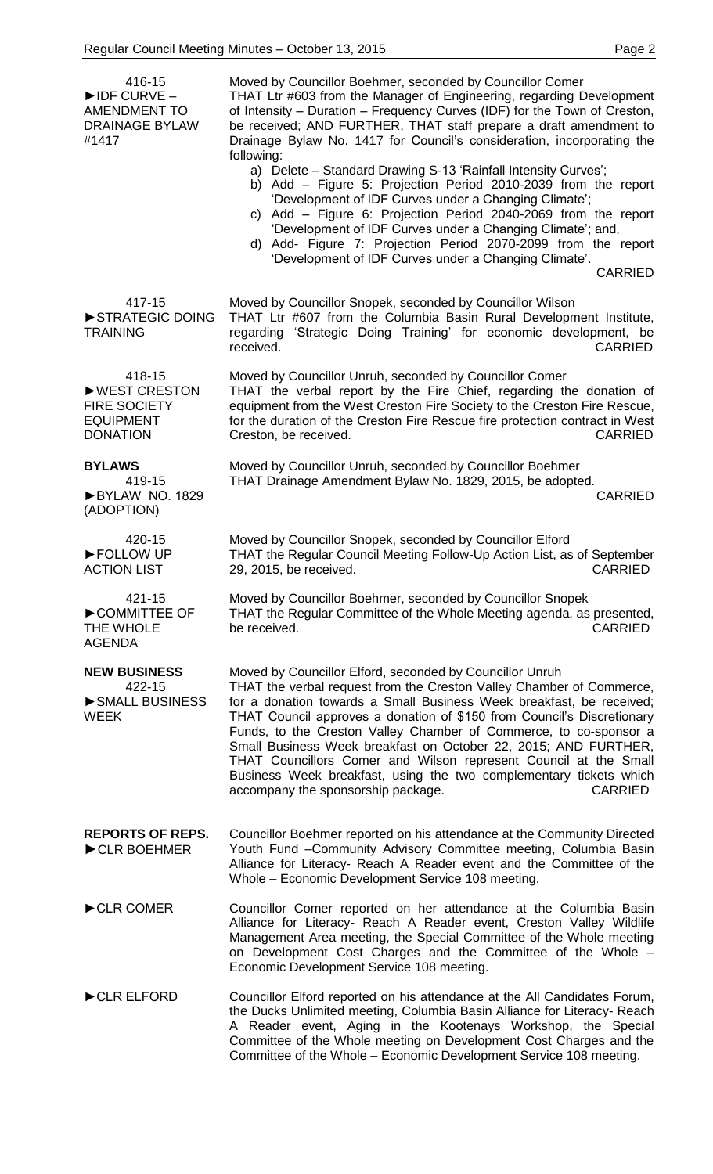416-15 ►IDF CURVE – AMENDMENT TO DRAINAGE BYLAW #1417 Moved by Councillor Boehmer, seconded by Councillor Comer THAT Ltr #603 from the Manager of Engineering, regarding Development of Intensity – Duration – Frequency Curves (IDF) for the Town of Creston, be received; AND FURTHER, THAT staff prepare a draft amendment to Drainage Bylaw No. 1417 for Council's consideration, incorporating the following: a) Delete – Standard Drawing S-13 'Rainfall Intensity Curves'; b) Add – Figure 5: Projection Period 2010-2039 from the report 'Development of IDF Curves under a Changing Climate'; c) Add – Figure 6: Projection Period 2040-2069 from the report 'Development of IDF Curves under a Changing Climate'; and, d) Add- Figure 7: Projection Period 2070-2099 from the report 'Development of IDF Curves under a Changing Climate'. CARRIED 417-15 ►STRATEGIC DOING TRAINING Moved by Councillor Snopek, seconded by Councillor Wilson THAT Ltr #607 from the Columbia Basin Rural Development Institute, regarding 'Strategic Doing Training' for economic development, be received. CARRIED 418-15 **►**WEST CRESTON FIRE SOCIETY EQUIPMENT DONATION Moved by Councillor Unruh, seconded by Councillor Comer THAT the verbal report by the Fire Chief, regarding the donation of equipment from the West Creston Fire Society to the Creston Fire Rescue, for the duration of the Creston Fire Rescue fire protection contract in West Creston, be received. The contract of the contract of the contract of the contract of the contract of the contract of the contract of the contract of the contract of the contract of the contract of the contract of the cont **BYLAWS** 419-15 ►BYLAW NO. 1829 (ADOPTION) Moved by Councillor Unruh, seconded by Councillor Boehmer THAT Drainage Amendment Bylaw No. 1829, 2015, be adopted. CARRIED 420-15 ►FOLLOW UP ACTION LIST Moved by Councillor Snopek, seconded by Councillor Elford THAT the Regular Council Meeting Follow-Up Action List, as of September 29, 2015, be received. CARRIED 421-15 ►COMMITTEE OF THE WHOLE AGENDA Moved by Councillor Boehmer, seconded by Councillor Snopek THAT the Regular Committee of the Whole Meeting agenda, as presented,<br>cARRIED be received. **NEW BUSINESS** 422-15 ►SMALL BUSINESS WEEK Moved by Councillor Elford, seconded by Councillor Unruh THAT the verbal request from the Creston Valley Chamber of Commerce, for a donation towards a Small Business Week breakfast, be received; THAT Council approves a donation of \$150 from Council's Discretionary Funds, to the Creston Valley Chamber of Commerce, to co-sponsor a Small Business Week breakfast on October 22, 2015; AND FURTHER, THAT Councillors Comer and Wilson represent Council at the Small Business Week breakfast, using the two complementary tickets which accompany the sponsorship package. The sponsorship package. **REPORTS OF REPS.** ►CLR BOEHMER Councillor Boehmer reported on his attendance at the Community Directed Youth Fund –Community Advisory Committee meeting, Columbia Basin Alliance for Literacy- Reach A Reader event and the Committee of the Whole – Economic Development Service 108 meeting. ►CLR COMER Councillor Comer reported on her attendance at the Columbia Basin Alliance for Literacy- Reach A Reader event, Creston Valley Wildlife Management Area meeting, the Special Committee of the Whole meeting on Development Cost Charges and the Committee of the Whole -Economic Development Service 108 meeting. ►CLR ELFORD Councillor Elford reported on his attendance at the All Candidates Forum, the Ducks Unlimited meeting, Columbia Basin Alliance for Literacy- Reach A Reader event, Aging in the Kootenays Workshop, the Special Committee of the Whole meeting on Development Cost Charges and the Committee of the Whole – Economic Development Service 108 meeting.